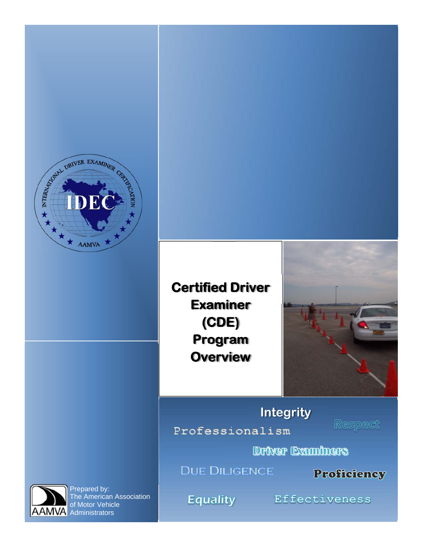

**Certified Driver Examiner (CDE) Program Overview**



**Professionalism Integrity** 

Respect

Driver Examiners

**DUE DILIGENCE** 

Proficiency



Prepared by: The American Association of Motor Vehicle **A** Administrators

**Equality** 

Effectiveness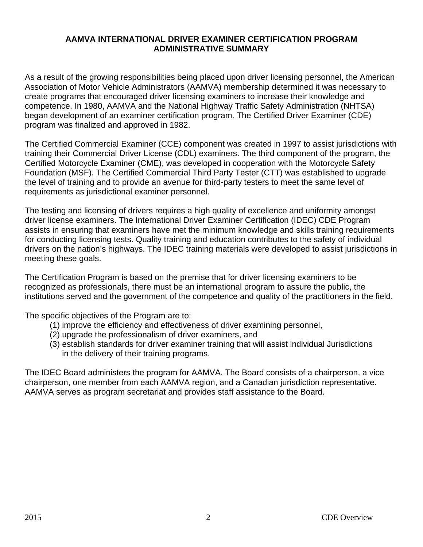### **AAMVA INTERNATIONAL DRIVER EXAMINER CERTIFICATION PROGRAM ADMINISTRATIVE SUMMARY**

As a result of the growing responsibilities being placed upon driver licensing personnel, the American Association of Motor Vehicle Administrators (AAMVA) membership determined it was necessary to create programs that encouraged driver licensing examiners to increase their knowledge and competence. In 1980, AAMVA and the National Highway Traffic Safety Administration (NHTSA) began development of an examiner certification program. The Certified Driver Examiner (CDE) program was finalized and approved in 1982.

The Certified Commercial Examiner (CCE) component was created in 1997 to assist jurisdictions with training their Commercial Driver License (CDL) examiners. The third component of the program, the Certified Motorcycle Examiner (CME), was developed in cooperation with the Motorcycle Safety Foundation (MSF). The Certified Commercial Third Party Tester (CTT) was established to upgrade the level of training and to provide an avenue for third-party testers to meet the same level of requirements as jurisdictional examiner personnel.

The testing and licensing of drivers requires a high quality of excellence and uniformity amongst driver license examiners. The International Driver Examiner Certification (IDEC) CDE Program assists in ensuring that examiners have met the minimum knowledge and skills training requirements for conducting licensing tests. Quality training and education contributes to the safety of individual drivers on the nation's highways. The IDEC training materials were developed to assist jurisdictions in meeting these goals.

The Certification Program is based on the premise that for driver licensing examiners to be recognized as professionals, there must be an international program to assure the public, the institutions served and the government of the competence and quality of the practitioners in the field.

The specific objectives of the Program are to:

- (1) improve the efficiency and effectiveness of driver examining personnel,
- (2) upgrade the professionalism of driver examiners, and
- (3) establish standards for driver examiner training that will assist individual Jurisdictions in the delivery of their training programs.

The IDEC Board administers the program for AAMVA. The Board consists of a chairperson, a vice chairperson, one member from each AAMVA region, and a Canadian jurisdiction representative. AAMVA serves as program secretariat and provides staff assistance to the Board.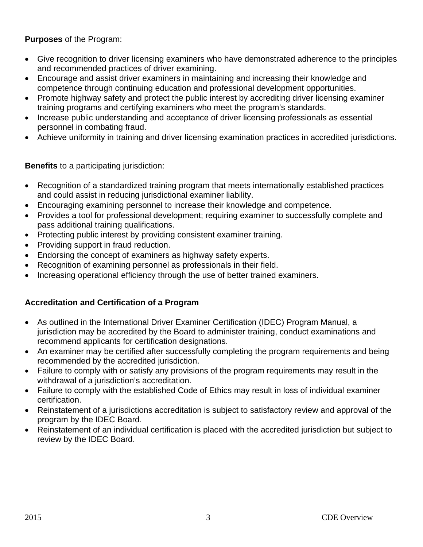### **Purposes** of the Program:

- Give recognition to driver licensing examiners who have demonstrated adherence to the principles and recommended practices of driver examining.
- Encourage and assist driver examiners in maintaining and increasing their knowledge and competence through continuing education and professional development opportunities.
- Promote highway safety and protect the public interest by accrediting driver licensing examiner training programs and certifying examiners who meet the program's standards.
- Increase public understanding and acceptance of driver licensing professionals as essential personnel in combating fraud.
- Achieve uniformity in training and driver licensing examination practices in accredited jurisdictions.

### **Benefits** to a participating jurisdiction:

- Recognition of a standardized training program that meets internationally established practices and could assist in reducing jurisdictional examiner liability.
- Encouraging examining personnel to increase their knowledge and competence.
- Provides a tool for professional development; requiring examiner to successfully complete and pass additional training qualifications.
- Protecting public interest by providing consistent examiner training.
- Providing support in fraud reduction.
- Endorsing the concept of examiners as highway safety experts.
- Recognition of examining personnel as professionals in their field.
- Increasing operational efficiency through the use of better trained examiners.

### **Accreditation and Certification of a Program**

- As outlined in the International Driver Examiner Certification (IDEC) Program Manual, a jurisdiction may be accredited by the Board to administer training, conduct examinations and recommend applicants for certification designations.
- An examiner may be certified after successfully completing the program requirements and being recommended by the accredited jurisdiction.
- Failure to comply with or satisfy any provisions of the program requirements may result in the withdrawal of a jurisdiction's accreditation.
- Failure to comply with the established Code of Ethics may result in loss of individual examiner certification.
- Reinstatement of a jurisdictions accreditation is subject to satisfactory review and approval of the program by the IDEC Board.
- Reinstatement of an individual certification is placed with the accredited jurisdiction but subject to review by the IDEC Board.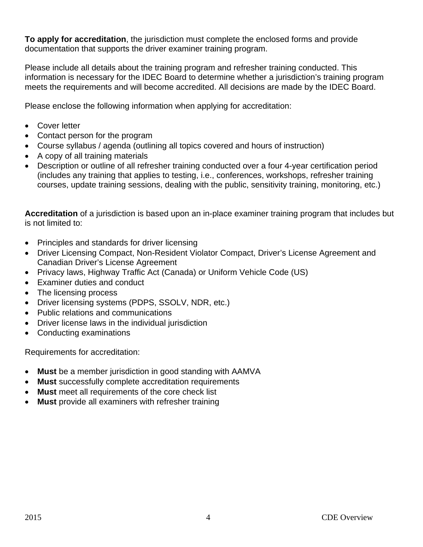**To apply for accreditation**, the jurisdiction must complete the enclosed forms and provide documentation that supports the driver examiner training program.

Please include all details about the training program and refresher training conducted. This information is necessary for the IDEC Board to determine whether a jurisdiction's training program meets the requirements and will become accredited. All decisions are made by the IDEC Board.

Please enclose the following information when applying for accreditation:

- Cover letter
- Contact person for the program
- Course syllabus / agenda (outlining all topics covered and hours of instruction)
- A copy of all training materials
- Description or outline of all refresher training conducted over a four 4-year certification period (includes any training that applies to testing, i.e., conferences, workshops, refresher training courses, update training sessions, dealing with the public, sensitivity training, monitoring, etc.)

**Accreditation** of a jurisdiction is based upon an in-place examiner training program that includes but is not limited to:

- Principles and standards for driver licensing
- Driver Licensing Compact, Non-Resident Violator Compact, Driver's License Agreement and Canadian Driver's License Agreement
- Privacy laws, Highway Traffic Act (Canada) or Uniform Vehicle Code (US)
- Examiner duties and conduct
- The licensing process
- Driver licensing systems (PDPS, SSOLV, NDR, etc.)
- Public relations and communications
- Driver license laws in the individual jurisdiction
- Conducting examinations

Requirements for accreditation:

- **Must** be a member jurisdiction in good standing with AAMVA
- **Must** successfully complete accreditation requirements
- **Must** meet all requirements of the core check list
- **Must** provide all examiners with refresher training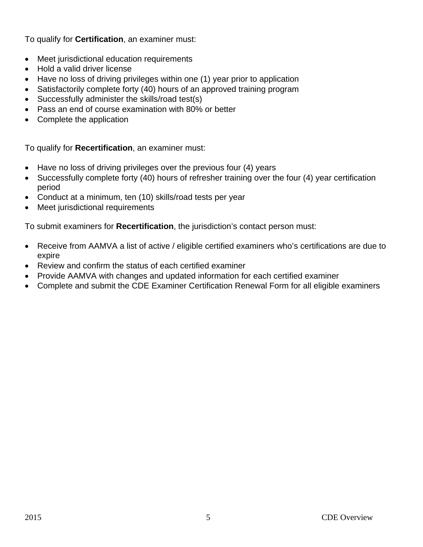To qualify for **Certification**, an examiner must:

- Meet jurisdictional education requirements
- Hold a valid driver license
- Have no loss of driving privileges within one (1) year prior to application
- Satisfactorily complete forty (40) hours of an approved training program
- Successfully administer the skills/road test(s)
- Pass an end of course examination with 80% or better
- Complete the application

To qualify for **Recertification**, an examiner must:

- Have no loss of driving privileges over the previous four (4) years
- Successfully complete forty (40) hours of refresher training over the four (4) year certification period
- Conduct at a minimum, ten (10) skills/road tests per year
- Meet jurisdictional requirements

To submit examiners for **Recertification**, the jurisdiction's contact person must:

- Receive from AAMVA a list of active / eligible certified examiners who's certifications are due to expire
- Review and confirm the status of each certified examiner
- Provide AAMVA with changes and updated information for each certified examiner
- Complete and submit the CDE Examiner Certification Renewal Form for all eligible examiners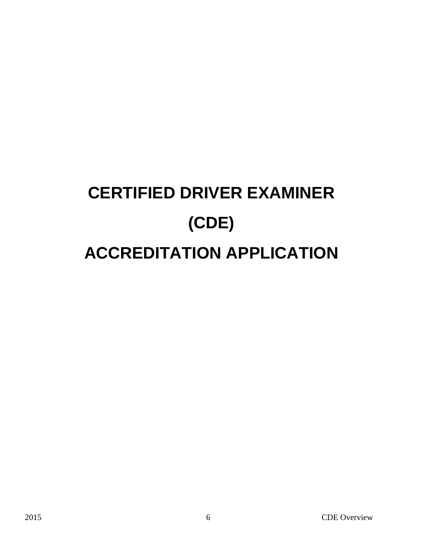# **CERTIFIED DRIVER EXAMINER (CDE) ACCREDITATION APPLICATION**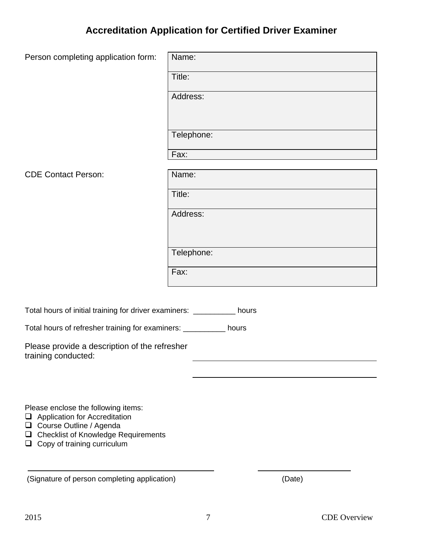## **Accreditation Application for Certified Driver Examiner**

| Person completing application form:                                                                                                                                                                               | Name:      |
|-------------------------------------------------------------------------------------------------------------------------------------------------------------------------------------------------------------------|------------|
|                                                                                                                                                                                                                   | Title:     |
|                                                                                                                                                                                                                   | Address:   |
|                                                                                                                                                                                                                   | Telephone: |
|                                                                                                                                                                                                                   | Fax:       |
| <b>CDE Contact Person:</b>                                                                                                                                                                                        | Name:      |
|                                                                                                                                                                                                                   | Title:     |
|                                                                                                                                                                                                                   | Address:   |
|                                                                                                                                                                                                                   |            |
|                                                                                                                                                                                                                   | Telephone: |
|                                                                                                                                                                                                                   | Fax:       |
|                                                                                                                                                                                                                   |            |
| Total hours of initial training for driver examiners: __________ hours                                                                                                                                            |            |
| Total hours of refresher training for examiners: ___________ hours                                                                                                                                                |            |
| Please provide a description of the refresher<br>training conducted:                                                                                                                                              |            |
|                                                                                                                                                                                                                   |            |
|                                                                                                                                                                                                                   |            |
| Please enclose the following items:<br>$\Box$ Application for Accreditation<br>Course Outline / Agenda<br>$\Box$<br><b>Checklist of Knowledge Requirements</b><br>$\Box$<br>Copy of training curriculum<br>$\Box$ |            |
| (Signature of person completing application)                                                                                                                                                                      | (Date)     |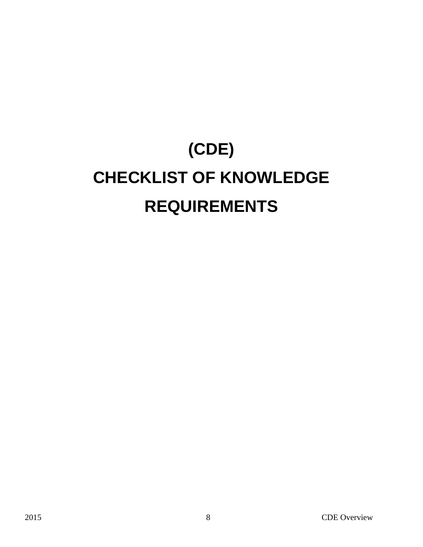# **(CDE) CHECKLIST OF KNOWLEDGE REQUIREMENTS**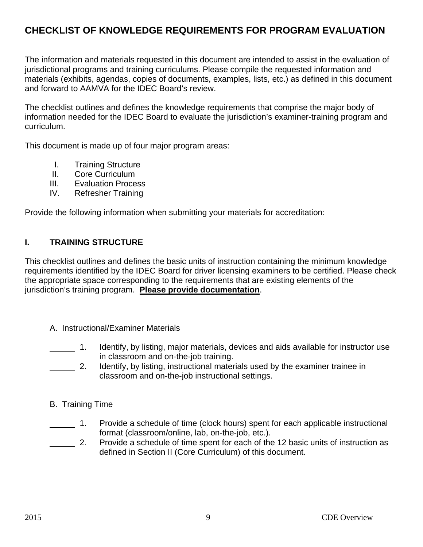### **CHECKLIST OF KNOWLEDGE REQUIREMENTS FOR PROGRAM EVALUATION**

The information and materials requested in this document are intended to assist in the evaluation of jurisdictional programs and training curriculums. Please compile the requested information and materials (exhibits, agendas, copies of documents, examples, lists, etc.) as defined in this document and forward to AAMVA for the IDEC Board's review.

The checklist outlines and defines the knowledge requirements that comprise the major body of information needed for the IDEC Board to evaluate the jurisdiction's examiner-training program and curriculum.

This document is made up of four major program areas:

- I. Training Structure
- II. Core Curriculum
- III. Evaluation Process
- IV. Refresher Training

Provide the following information when submitting your materials for accreditation:

### **I. TRAINING STRUCTURE**

This checklist outlines and defines the basic units of instruction containing the minimum knowledge requirements identified by the IDEC Board for driver licensing examiners to be certified. Please check the appropriate space corresponding to the requirements that are existing elements of the jurisdiction's training program. **Please provide documentation**.

A. Instructional/Examiner Materials

 1. Identify, by listing, major materials, devices and aids available for instructor use in classroom and on-the-job training.

2. Identify, by listing, instructional materials used by the examiner trainee in classroom and on-the-job instructional settings.

#### B. Training Time

- 1. Provide a schedule of time (clock hours) spent for each applicable instructional format (classroom/online, lab, on-the-job, etc.).
- 2. Provide a schedule of time spent for each of the 12 basic units of instruction as defined in Section II (Core Curriculum) of this document.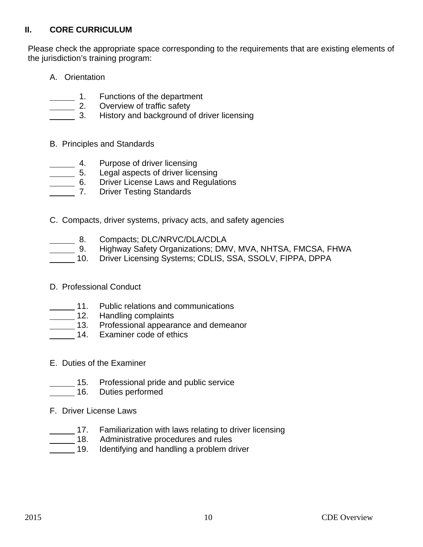### **II. CORE CURRICULUM**

Please check the appropriate space corresponding to the requirements that are existing elements of the jurisdiction's training program:

- A. Orientation
- 
- 1. Functions of the department<br>2. Overview of traffic safety Overview of traffic safety
	- 3. History and background of driver licensing
- B. Principles and Standards
- 4. Purpose of driver licensing<br>
5. Legal aspects of driver lice
	-
- 5. Legal aspects of driver licensing<br>16. Driver License Laws and Regula 6. Driver License Laws and Regulations
- 7. Driver Testing Standards
- C. Compacts, driver systems, privacy acts, and safety agencies
- 8. Compacts; DLC/NRVC/DLA/CDLA
- 9. Highway Safety Organizations; DMV, MVA, NHTSA, FMCSA, FHWA<br>10. Driver Licensing Systems; CDLIS, SSA, SSOLV, FIPPA, DPPA
	- 10. Driver Licensing Systems; CDLIS, SSA, SSOLV, FIPPA, DPPA
- D. Professional Conduct
- 11. Public relations and communications
- **12.** Handling complaints
- **13.** Professional appearance and demeanor
- 14. Examiner code of ethics
	- E. Duties of the Examiner
	- 15. Professional pride and public service<br>16. Duties performed
		- Duties performed
	- F. Driver License Laws
	- \_\_\_\_\_\_ 17. Familiarization with laws relating to driver licensing<br>\_\_\_\_\_\_ 18. Administrative procedures and rules<br>\_\_\_\_\_ 19. Identifying and handling a problem driver
		- Administrative procedures and rules
		- Identifying and handling a problem driver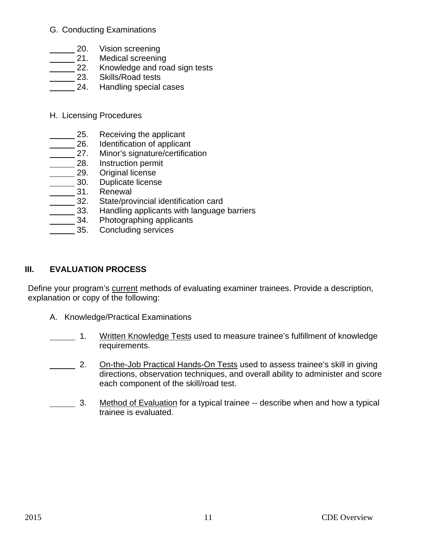### G. Conducting Examinations

- 
- \_\_\_\_\_\_ 20. Vision screening<br>\_\_\_\_\_\_ 21. Medical screening \_\_\_\_\_ 21. Medical screening<br>\_\_\_\_\_ 22. Knowledge and roa
- Knowledge and road sign tests
- 23. Skills/Road tests
- 24. Handling special cases
- H. Licensing Procedures
	-
- 25. Receiving the applicant<br>26. Identification of applican
- 26. Identification of applicant<br>27. Minor's signature/certifica<br>28. Instruction permit Minor's signature/certification
- 
- 28. Instruction permit<br>29. Original license
- 29. Original license<br>20. Duplicate licens Duplicate license
- **22.** 31. Renewal
- 
- \_\_\_\_\_\_ 32. State/provincial identification card<br>\_\_\_\_\_\_ 33. Handling applicants with language \_\_\_\_\_\_ 33. Handling applicants with language barriers<br>\_\_\_\_\_\_ 34. Photographing applicants
	- Photographing applicants
- 35. Concluding services

### **III. EVALUATION PROCESS**

Define your program's current methods of evaluating examiner trainees. Provide a description, explanation or copy of the following:

- A. Knowledge/Practical Examinations
- 1. Written Knowledge Tests used to measure trainee's fulfillment of knowledge requirements.
- 2. On-the-Job Practical Hands-On Tests used to assess trainee's skill in giving directions, observation techniques, and overall ability to administer and score each component of the skill/road test.
- 3. Method of Evaluation for a typical trainee -- describe when and how a typical trainee is evaluated.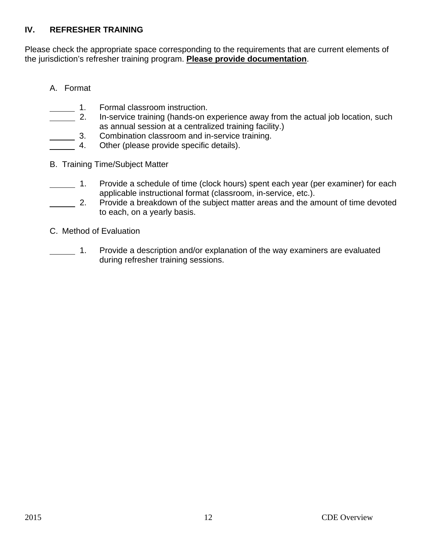### **IV. REFRESHER TRAINING**

Please check the appropriate space corresponding to the requirements that are current elements of the jurisdiction's refresher training program. **Please provide documentation**.

### A. Format

- 1. Formal classroom instruction.
- 2. In-service training (hands-on experience away from the actual job location, such as annual session at a centralized training facility.)
- 3. Combination classroom and in-service training.<br>4. Other (please provide specific details).
- Other (please provide specific details).
- B. Training Time/Subject Matter
- 1. Provide a schedule of time (clock hours) spent each year (per examiner) for each applicable instructional format (classroom, in-service, etc.).
- 2. Provide a breakdown of the subject matter areas and the amount of time devoted to each, on a yearly basis.
- C. Method of Evaluation
- 1. Provide a description and/or explanation of the way examiners are evaluated during refresher training sessions.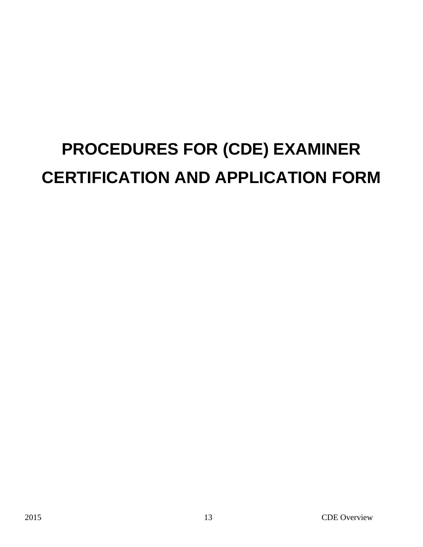## **PROCEDURES FOR (CDE) EXAMINER CERTIFICATION AND APPLICATION FORM**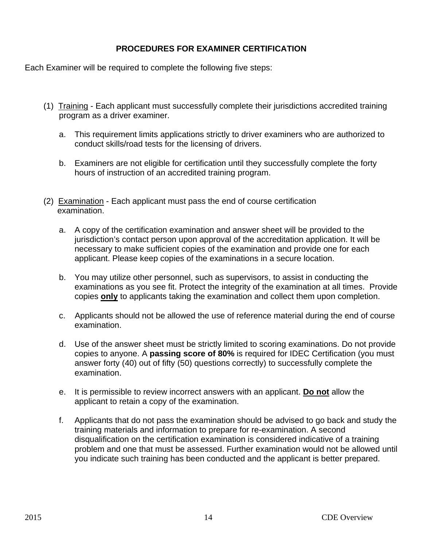### **PROCEDURES FOR EXAMINER CERTIFICATION**

Each Examiner will be required to complete the following five steps:

- (1) Training Each applicant must successfully complete their jurisdictions accredited training program as a driver examiner.
	- a. This requirement limits applications strictly to driver examiners who are authorized to conduct skills/road tests for the licensing of drivers.
	- b. Examiners are not eligible for certification until they successfully complete the forty hours of instruction of an accredited training program.
- (2) Examination Each applicant must pass the end of course certification examination.
	- a. A copy of the certification examination and answer sheet will be provided to the jurisdiction's contact person upon approval of the accreditation application. It will be necessary to make sufficient copies of the examination and provide one for each applicant. Please keep copies of the examinations in a secure location.
	- b. You may utilize other personnel, such as supervisors, to assist in conducting the examinations as you see fit. Protect the integrity of the examination at all times. Provide copies **only** to applicants taking the examination and collect them upon completion.
	- c. Applicants should not be allowed the use of reference material during the end of course examination.
	- d. Use of the answer sheet must be strictly limited to scoring examinations. Do not provide copies to anyone. A **passing score of 80%** is required for IDEC Certification (you must answer forty (40) out of fifty (50) questions correctly) to successfully complete the examination.
	- e. It is permissible to review incorrect answers with an applicant. **Do not** allow the applicant to retain a copy of the examination.
	- f. Applicants that do not pass the examination should be advised to go back and study the training materials and information to prepare for re-examination. A second disqualification on the certification examination is considered indicative of a training problem and one that must be assessed. Further examination would not be allowed until you indicate such training has been conducted and the applicant is better prepared.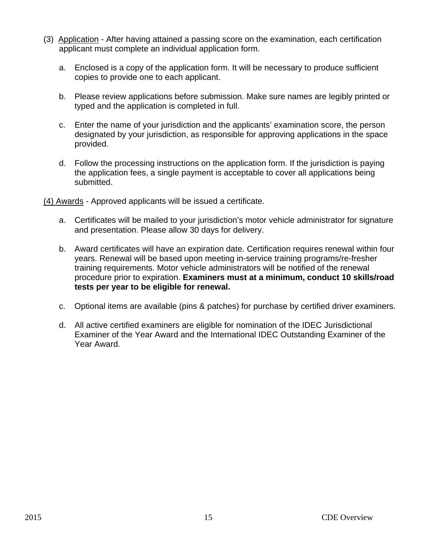- (3) Application After having attained a passing score on the examination, each certification applicant must complete an individual application form.
	- a. Enclosed is a copy of the application form. It will be necessary to produce sufficient copies to provide one to each applicant.
	- b. Please review applications before submission. Make sure names are legibly printed or typed and the application is completed in full.
	- c. Enter the name of your jurisdiction and the applicants' examination score, the person designated by your jurisdiction, as responsible for approving applications in the space provided.
	- d. Follow the processing instructions on the application form. If the jurisdiction is paying the application fees, a single payment is acceptable to cover all applications being submitted.

(4) Awards - Approved applicants will be issued a certificate.

- a. Certificates will be mailed to your jurisdiction's motor vehicle administrator for signature and presentation. Please allow 30 days for delivery.
- b. Award certificates will have an expiration date. Certification requires renewal within four years. Renewal will be based upon meeting in-service training programs/re-fresher training requirements. Motor vehicle administrators will be notified of the renewal procedure prior to expiration. **Examiners must at a minimum, conduct 10 skills/road tests per year to be eligible for renewal.**
- c. Optional items are available (pins & patches) for purchase by certified driver examiners.
- d. All active certified examiners are eligible for nomination of the IDEC Jurisdictional Examiner of the Year Award and the International IDEC Outstanding Examiner of the Year Award.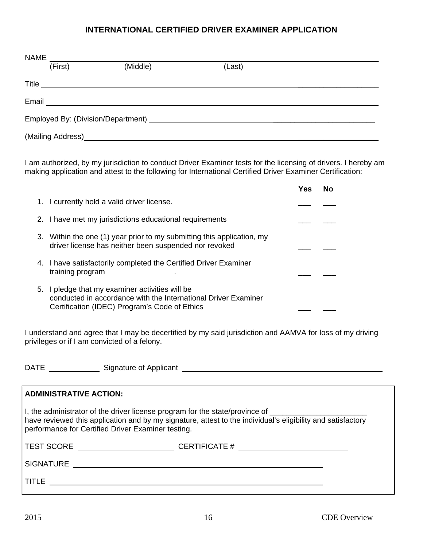#### **INTERNATIONAL CERTIFIED DRIVER EXAMINER APPLICATION**

| <b>NAME</b> |         |                                                           |        |  |  |  |
|-------------|---------|-----------------------------------------------------------|--------|--|--|--|
|             | (First) | (Middle)                                                  | (Last) |  |  |  |
|             | Title   |                                                           |        |  |  |  |
| Email       |         | <u> 1989 - Johann Barnett, fransk politiker (d. 1989)</u> |        |  |  |  |
|             |         |                                                           |        |  |  |  |
|             |         |                                                           |        |  |  |  |

I am authorized, by my jurisdiction to conduct Driver Examiner tests for the licensing of drivers. I hereby am making application and attest to the following for International Certified Driver Examiner Certification:

|    |                                                                                                                                                                 | Yes | No |  |
|----|-----------------------------------------------------------------------------------------------------------------------------------------------------------------|-----|----|--|
|    | 1. I currently hold a valid driver license.                                                                                                                     |     |    |  |
|    | 2. I have met my jurisdictions educational requirements                                                                                                         |     |    |  |
|    | 3. Within the one (1) year prior to my submitting this application, my<br>driver license has neither been suspended nor revoked                                 |     |    |  |
|    | 4. I have satisfactorily completed the Certified Driver Examiner<br>training program                                                                            |     |    |  |
| 5. | I pledge that my examiner activities will be<br>conducted in accordance with the International Driver Examiner<br>Certification (IDEC) Program's Code of Ethics |     |    |  |

I understand and agree that I may be decertified by my said jurisdiction and AAMVA for loss of my driving privileges or if I am convicted of a felony.

DATE Signature of Applicant \_\_\_\_\_\_\_\_\_\_\_\_\_\_

| <b>ADMINISTRATIVE ACTION:</b>                                                                                                                                                                                                                                            |                                                                                  |  |  |  |
|--------------------------------------------------------------------------------------------------------------------------------------------------------------------------------------------------------------------------------------------------------------------------|----------------------------------------------------------------------------------|--|--|--|
| I, the administrator of the driver license program for the state/province of ______________________<br>have reviewed this application and by my signature, attest to the individual's eligibility and satisfactory<br>performance for Certified Driver Examiner testing. |                                                                                  |  |  |  |
|                                                                                                                                                                                                                                                                          | TEST SCORE ____________________________CERTIFICATE # ___________________________ |  |  |  |
| SIGNATURE                                                                                                                                                                                                                                                                |                                                                                  |  |  |  |
| TITLE                                                                                                                                                                                                                                                                    |                                                                                  |  |  |  |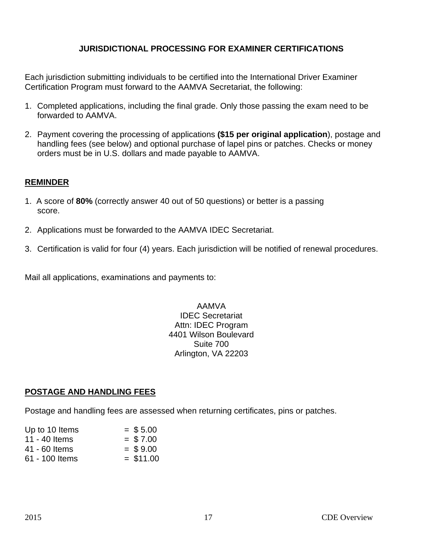### **JURISDICTIONAL PROCESSING FOR EXAMINER CERTIFICATIONS**

Each jurisdiction submitting individuals to be certified into the International Driver Examiner Certification Program must forward to the AAMVA Secretariat, the following:

- 1. Completed applications, including the final grade. Only those passing the exam need to be forwarded to AAMVA.
- 2. Payment covering the processing of applications **(\$15 per original application**), postage and handling fees (see below) and optional purchase of lapel pins or patches. Checks or money orders must be in U.S. dollars and made payable to AAMVA.

### **REMINDER**

- 1. A score of **80%** (correctly answer 40 out of 50 questions) or better is a passing score.
- 2. Applications must be forwarded to the AAMVA IDEC Secretariat.
- 3. Certification is valid for four (4) years. Each jurisdiction will be notified of renewal procedures.

Mail all applications, examinations and payments to:

AAMVA IDEC Secretariat Attn: IDEC Program 4401 Wilson Boulevard Suite 700 Arlington, VA 22203

### **POSTAGE AND HANDLING FEES**

Postage and handling fees are assessed when returning certificates, pins or patches.

| Up to 10 Items | $=$ \$ 5.00 |
|----------------|-------------|
| 11 - 40 Items  | $=$ \$7.00  |
| 41 - 60 Items  | $=$ \$9.00  |
| 61 - 100 Items | $= $11.00$  |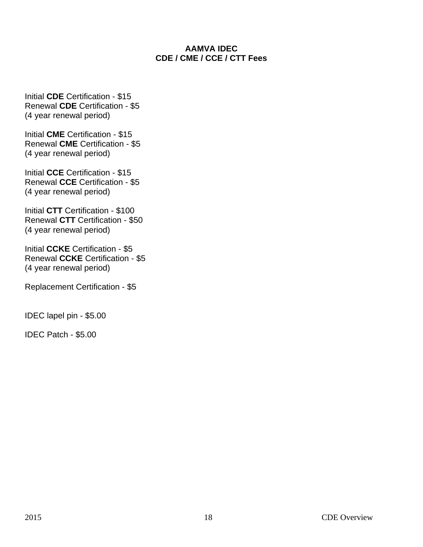### **AAMVA IDEC CDE / CME / CCE / CTT Fees**

Initial **CDE** Certification - \$15 Renewal **CDE** Certification - \$5 (4 year renewal period)

Initial **CME** Certification - \$15 Renewal **CME** Certification - \$5 (4 year renewal period)

Initial **CCE** Certification - \$15 Renewal **CCE** Certification - \$5 (4 year renewal period)

Initial **CTT** Certification - \$100 Renewal **CTT** Certification - \$50 (4 year renewal period)

Initial **CCKE** Certification - \$5 Renewal **CCKE** Certification - \$5 (4 year renewal period)

Replacement Certification - \$5

IDEC lapel pin - \$5.00

IDEC Patch - \$5.00